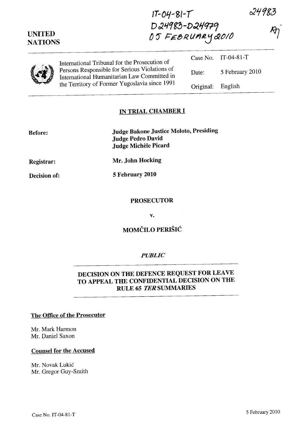24983

| <b>UNITED</b><br><b>NATIONS</b> | D24983-D24979<br>05 FEBRUARY 2010                                                                                                             |           |                     |  |
|---------------------------------|-----------------------------------------------------------------------------------------------------------------------------------------------|-----------|---------------------|--|
|                                 | International Tribunal for the Prosecution of                                                                                                 |           | Case No. IT-04-81-T |  |
|                                 | Persons Responsible for Serious Violations of<br>International Humanitarian Law Committed in<br>the Territory of Former Yugoslavia since 1991 | Date:     | 5 February 2010     |  |
|                                 |                                                                                                                                               | Original: | English             |  |

**IT-Oq-** *8/-1* 

## **IN TRIAL CHAMBER I**

| <b>Before:</b> | <b>Judge Bakone Justice Moloto, Presiding</b><br><b>Judge Pedro David</b><br><b>Judge Michèle Picard</b> |  |
|----------------|----------------------------------------------------------------------------------------------------------|--|
| Registrar:     | Mr. John Hocking                                                                                         |  |
| Decision of:   | 5 February 2010                                                                                          |  |

#### **PROSECUTOR**

**v.** 

# **MOMCILO PERISIC**

#### *PUBLIC*

# DECISION ON THE DEFENCE REQUEST FOR LEAVE **TO APPEAL THE CONFIDENTIAL DECISION ON THE RULE 65** *TER* **SUMMARIES**

#### **The Office of the Prosecutor**

Mr. Mark Harmon Mr. Daniel Saxon

## **Counsel for the Accused**

Mr. Novak Lukić Mr. Gregor Guy-Smith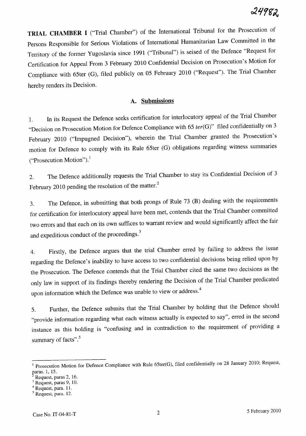**TRIAL CHAMBER I** ("Trial Chamber") of the International Tribunal for the Prosecution of Persons Responsible for Serious Violations of International Humanitarian Law Committed in the Territory of the former Yugoslavia since 1991 ("Tribunal") is seised of the Defence "Request for Certification for Appeal From 3 February 2010 Confidential Decision on Prosecution's Motion for Compliance with 65ter (G), filed publicly on 05 February 2010 ("Request"). The Trial Chamber hereby renders its Decision.

## **A. Submissions**

1. In its Request the Defence seeks certification for interlocutory appeal of the Trial Chamber "Decision on Prosecution Motion for Defence Compliance with 65 *ter(G)"* filed confidentially on 3 February 2010 ("Impugned Decision"), wherein the Trial Chamber granted the Prosecution's motion for Defence to comply with its Rule 65ter (G) obligations regarding witness summaries ("Prosecution Motion"). <sup>1</sup>

2. The Defence additionally requests the Trial Chamber to stay its Confidential Decision of 3 February 2010 pending the resolution of the matter.<sup>2</sup>

3. The Defence, in submitting that both prongs of Rule 73 (B) dealing with the requirements for certification for interlocutory appeal have been met, contends that the Trial Chamber committed two errors and that each on its own suffices to warrant review and would significantly affect the fair and expeditious conduct of the proceedings.<sup>3</sup>

4. Firstly, the Defence argues that the trial Chamber erred by failing to address the issue regarding the Defence's inability to have access to two confidential decisions being relied upon by the Prosecution. The Defence contends that the Trial Chamber cited the same two decisions as the only law in support of its findings thereby rendering the Decision of the Trial Chamber predicated upon information which the Defence was unable to view or address.<sup>4</sup>

5. Further, the Defence submits that the Trial Chamber by holding that the Defence should "provide information regarding what each witness actually is expected to say", erred in the second instance as this holding is "confusing and in contradiction to the requirement of providing a summary of facts".<sup>5</sup>

<sup>&</sup>lt;sup>1</sup> Prosecution Motion for Defence Compliance with Rule 65ter(G), filed confidentially on 28 January 2010; Request, paras. 1, 15.

Request, paras 2, 16.

 $3$  Request, paras 9, 10.

<sup>4</sup> Request, para. 11.

<sup>5</sup> Request, para. 12.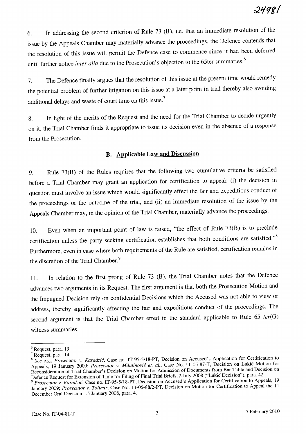6. In addressing the second criterion of Rule 73 (B), i.e. that an immediate resolution of the issue by the Appeals Chamber may materially advance the proceedings, the Defence contends that the resolution of this issue will permit the Defence case to commence since it had been deferred until further notice *inter alia* due to the Prosecution's objection to the 65ter summaries.<sup>6</sup>

7. The Defence finally argues that the resolution of this issue at the present time would remedy the potential problem of further litigation on this issue at a later point in trial thereby also avoiding additional delays and waste of court time on this issue.<sup>7</sup>

8. In light of the merits of the Request and the need for the Trial Chamber to decide urgently on it, the Trial Chamber finds it appropriate to issue its decision even in the absence of a response from the Prosecution.

## **B. Applicable Law and Discussion**

9. Rule 73(B) of the Rules requires that the following two cumulative criteria be satisfied before a Trial Chamber may grant an application for certification to appeal: (i) the decision in question must involve an issue which would significantly affect the fair and expeditious conduct of the proceedings or the outcome of the trial, and (ii) an immediate resolution of the issue by the Appeals Chamber may, in the opinion of the Trial Chamber, materially advance the proceedings.

10. Even when an important point of law is raised, "the effect of Rule 73(B) is to preclude certification unless the party seeking certification establishes that both conditions are satisfied."<sup>8</sup> Furthermore, even in case where both requirements of the Rule are satisfied, certification remains in the discretion of the Trial Chamber.<sup>9</sup>

11. In relation to the first prong of Rule 73 (B), the Trial Chamber notes that the Defence advances two arguments in its Request. The first argument is that both the Prosecution Motion and the Impugned Decision rely on confidential Decisions which the Accused was not able to view or address, thereby significantly affecting the fair and expeditious conduct of the proceedings. The second argument is that the Trial Chamber erred in the standard applicable to Rule 65 *ter(G)*  witness summaries.

 $<sup>6</sup>$  Request, para. 13.</sup>

<sup>7</sup> Request, para. 14.

*<sup>8</sup> See* e.g., *Prosecutor* v. *Karadzic,* Case no. IT-95-5/1S-PT, Decision on Accused's Application for Certification to Appeals, 19 January 2009; *Prosecutor* v. *Milutinovie et. aI.,* Case No. IT-05-S7-T, Decision on Lukic Motion for Reconsideration of Trial Chamber's Decision on Motion for Admission of Documents from Bar Table and Decision on Defence Request for Extension of Time for Filing of Final Trial Briefs, 2 July 200S ("Lukic Decision"), para. 42.

<sup>&</sup>lt;sup>9</sup> Prosecutor v. *Karadzić*, Case no. IT-95-5/18-PT, Decision on Accused's Application for Certification to Appeals, 19 January 2009; *Prosecutor* v. *Tolimir,* Case No. 1l-05-SSI2-PT, Decision on Motion for Certification to Appeal the 11 December Oral Decision, 15 January 200S, para. 4.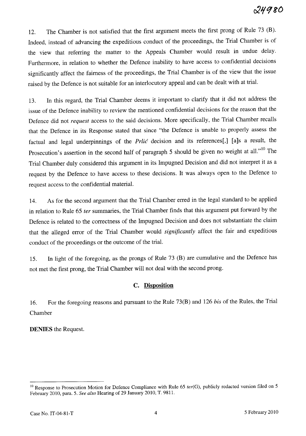12. The Chamber is not satisfied that the first argument meets the first prong of Rule 73 (B). Indeed, instead of advancing the expeditious conduct of the proceedings, the Trial Chamber is of the view that referring the matter to the Appeals Chamber would result in undue delay. Furthermore, in relation to whether the Defence inability to have access to confidential decisions significantly affect the fairness of the proceedings, the Trial Chamber is of the view that the issue raised by the Defence is not suitable for an interlocutory appeal and can be dealt with at trial.

13. In this regard, the Trial Chamber deems it important to clarify that it did not address the issue of the Defence inability to review the mentioned confidential decisions for the reason that the Defence did not *request* access to the said decisions. More specifically, the Trial Chamber recalls that the Defence in its Response stated that since "the Defence is unable to properly assess the factual and legal underpinnings of the Prlic decision and its references[,] [a]s a result, the Prosecution's assertion in the second half of paragraph 5 should be given no weight at all."<sup>10</sup> The Trial Chamber duly considered this argument in its Impugned Decision and did not interpret it as a request by the Defence to have access to these decisions. It was always open to the Defence to request access to the confidential material.

14. As for the second argument that the Trial Chamber erred in the legal standard to be applied in relation to Rule 65 *ter* summaries, the Trial Chamber finds that this argument put forward by the Defence is related to the correctness of the Impugned Decision and does not substantiate the claim that the alleged error of the Trial Chamber would *significantly* affect the fair and expeditious conduct of the proceedings or the outcome of the trial.

15. In light of the foregoing, as the prongs of Rule 73 (B) are cumulative and the Defence has not met the first prong, the Trial Chamber will not deal with the second prong.

## C. **Disposition**

16. For the foregoing reasons and pursuant to the Rule 73(B) and 126 *his* of the Rules, the Trial Chamber

**DENIES** the Request.

<sup>&</sup>lt;sup>10</sup> Response to Prosecution Motion for Defence Compliance with Rule 65 *ter(G)*, publicly redacted version filed on 5 February 2010, para. 5. *See also* Hearing of 29 January 2010, T. 9811.